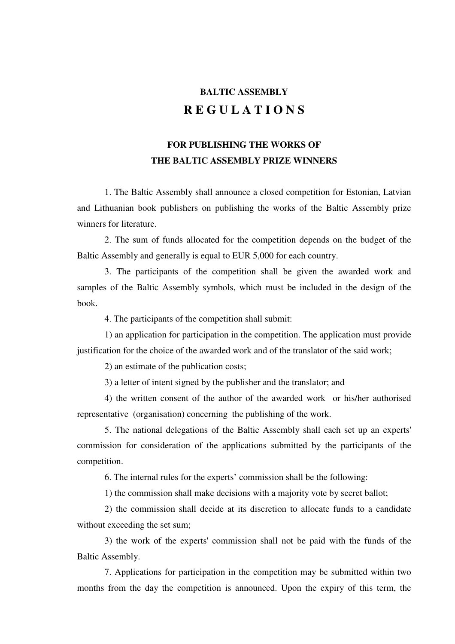## **BALTIC ASSEMBLY R E G U L A T I O N S**

## **FOR PUBLISHING THE WORKS OF THE BALTIC ASSEMBLY PRIZE WINNERS**

1. The Baltic Assembly shall announce a closed competition for Estonian, Latvian and Lithuanian book publishers on publishing the works of the Baltic Assembly prize winners for literature.

2. The sum of funds allocated for the competition depends on the budget of the Baltic Assembly and generally is equal to EUR 5,000 for each country.

3. The participants of the competition shall be given the awarded work and samples of the Baltic Assembly symbols, which must be included in the design of the book.

4. The participants of the competition shall submit:

1) an application for participation in the competition. The application must provide justification for the choice of the awarded work and of the translator of the said work;

2) an estimate of the publication costs;

3) a letter of intent signed by the publisher and the translator; and

4) the written consent of the author of the awarded work or his/her authorised representative (organisation) concerning the publishing of the work.

5. The national delegations of the Baltic Assembly shall each set up an experts' commission for consideration of the applications submitted by the participants of the competition.

6. The internal rules for the experts' commission shall be the following:

1) the commission shall make decisions with a majority vote by secret ballot;

2) the commission shall decide at its discretion to allocate funds to a candidate without exceeding the set sum:

3) the work of the experts' commission shall not be paid with the funds of the Baltic Assembly.

7. Applications for participation in the competition may be submitted within two months from the day the competition is announced. Upon the expiry of this term, the